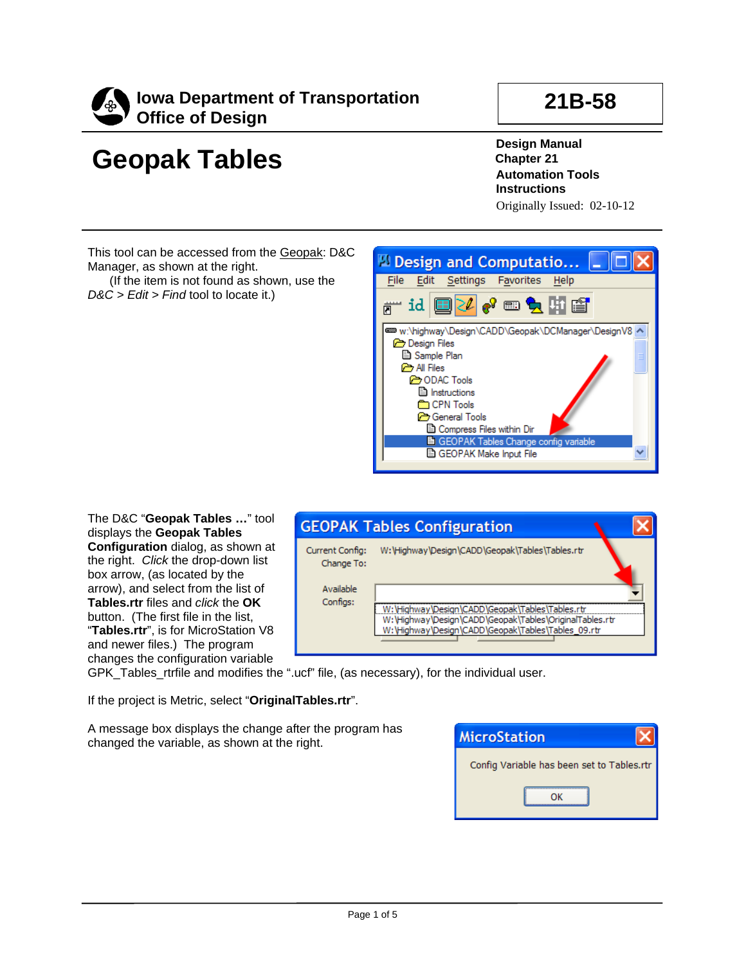

## **Geopak Tables**

## **21B-58**

**Design Manual Chapter 21 Automation Tools Instructions** Originally Issued: 02-10-12

This tool can be accessed from the Geopak: D&C Manager, as shown at the right.

(If the item is not found as shown, use the *D&C > Edit > Find* tool to locate it.)



The D&C "**Geopak Tables …**" tool displays the **Geopak Tables Configuration** dialog, as shown at the right. *Click* the drop-down list box arrow, (as located by the arrow), and select from the list of **Tables.rtr** files and *click* the **OK** button. (The first file in the list, "**Tables.rtr**", is for MicroStation V8 and newer files.) The program changes the configuration variable



GPK\_Tables\_rtrfile and modifies the ".ucf" file, (as necessary), for the individual user.

If the project is Metric, select "**OriginalTables.rtr**".

A message box displays the change after the program has changed the variable, as shown at the right.

| <b>MicroStation</b>                        |
|--------------------------------------------|
| Config Variable has been set to Tables.rtr |
|                                            |
|                                            |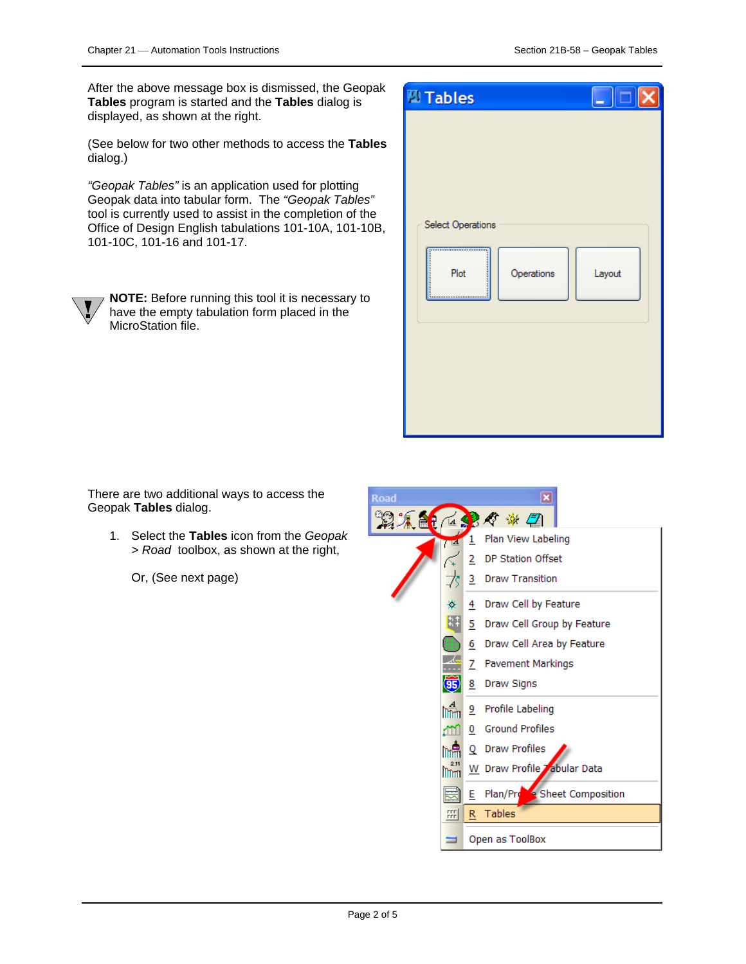After the above message box is dismissed, the Geopak **Tables** program is started and the **Tables** dialog is displayed, as shown at the right.

(See below for two other methods to access the **Tables** dialog.)

*"Geopak Tables"* is an application used for plotting Geopak data into tabular form. The *"Geopak Tables"* tool is currently used to assist in the completion of the Office of Design English tabulations 101-10A, 101-10B, 101-10C, 101-16 and 101-17.



**NOTE:** Before running this tool it is necessary to have the empty tabulation form placed in the MicroStation file.

| <b>MI Tables</b>                                    | $\Box$ $\Box$ $\times$ |
|-----------------------------------------------------|------------------------|
| Select Operations<br><br><br>Operations<br>Plot<br> | Layout                 |

There are two additional ways to access the Geopak **Tables** dialog.

1. Select the **Tables** icon from the *Geopak > Road* toolbox, as shown at the right,

Or, (See next page)

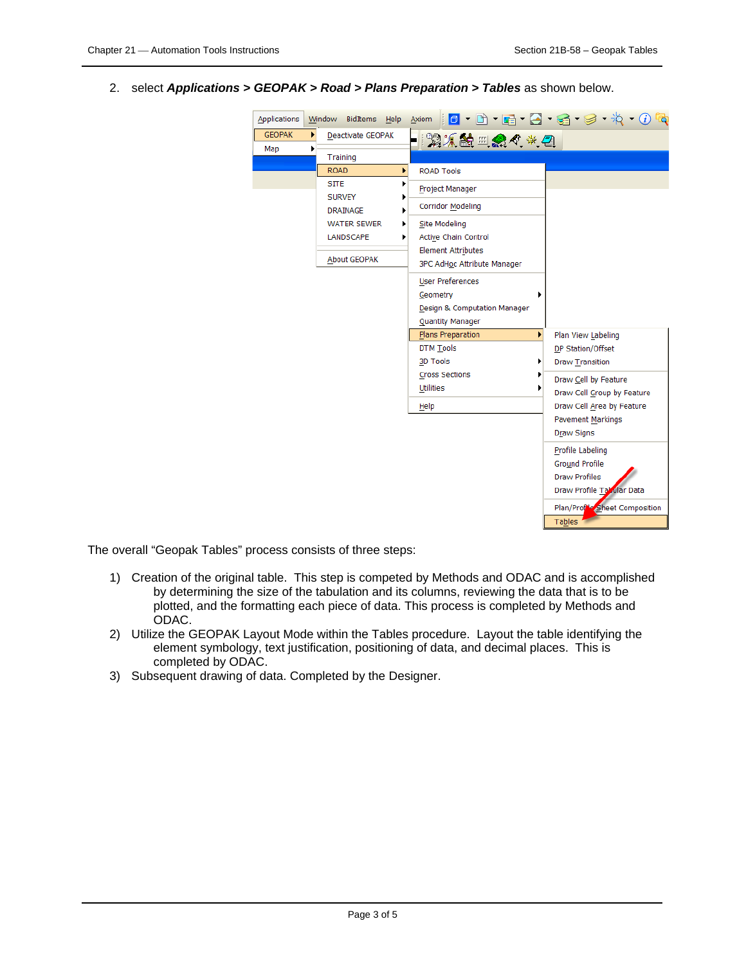2. select *Applications > GEOPAK > Road > Plans Preparation > Tables* as shown below.

| Applications  |   | Window                                                 | <b>BidItems</b>   | Help |                                           |                                                                 |                                                    |  |   | Axiom   0 · 0 · 6 · 3 · 3 · 4 · 0 °Q                                                           |
|---------------|---|--------------------------------------------------------|-------------------|------|-------------------------------------------|-----------------------------------------------------------------|----------------------------------------------------|--|---|------------------------------------------------------------------------------------------------|
| <b>GEOPAK</b> | ¥ |                                                        | Deactivate GEOPAK |      |                                           |                                                                 | \$Q X 的 #L @ <\ * + _ @                            |  |   |                                                                                                |
| Map           | ٠ | Training                                               |                   |      |                                           |                                                                 |                                                    |  |   |                                                                                                |
|               |   | <b>ROAD</b>                                            |                   | r    |                                           | <b>ROAD Tools</b>                                               |                                                    |  |   |                                                                                                |
|               |   | STTE                                                   |                   |      |                                           | Project Manager                                                 |                                                    |  |   |                                                                                                |
|               |   | <b>SURVEY</b><br><b>DRAINAGE</b><br><b>WATER SEWER</b> |                   |      |                                           | <b>Corridor Modeling</b>                                        |                                                    |  |   |                                                                                                |
|               |   |                                                        | ٠                 |      | <b>Site Modeling</b>                      |                                                                 |                                                    |  |   |                                                                                                |
|               |   |                                                        | <b>LANDSCAPE</b>  |      |                                           | <b>Active Chain Control</b>                                     |                                                    |  |   |                                                                                                |
|               |   |                                                        | About GEOPAK      |      |                                           | <b>Element Attributes</b><br><b>3PC AdHoc Attribute Manager</b> |                                                    |  |   |                                                                                                |
|               |   |                                                        |                   |      | Geometry                                  | <b>User Preferences</b><br>Quantity Manager                     | Design & Computation Manager                       |  |   |                                                                                                |
|               |   |                                                        |                   |      |                                           | Plans Preparation                                               |                                                    |  | r | Plan View Labeling                                                                             |
|               |   |                                                        |                   |      | 3D Tools                                  | <b>DTM Tools</b>                                                |                                                    |  |   | DP Station/Offset<br>Draw Transition                                                           |
|               |   |                                                        |                   |      | <b>Cross Sections</b><br><b>Utilities</b> |                                                                 | Draw Cell by Feature<br>Draw Cell Group by Feature |  |   |                                                                                                |
|               |   |                                                        |                   |      | Help                                      |                                                                 |                                                    |  |   | Draw Cell Area by Feature                                                                      |
|               |   |                                                        |                   |      |                                           |                                                                 |                                                    |  |   | <b>Pavement Markings</b><br><b>Draw Signs</b>                                                  |
|               |   |                                                        |                   |      |                                           |                                                                 |                                                    |  |   | Profile Labeling<br><b>Ground Profile</b><br><b>Draw Profiles</b><br>Draw Profile Tabular Data |
|               |   |                                                        |                   |      |                                           |                                                                 |                                                    |  |   | Plan/Profile Sheet Composition<br>Tables                                                       |

The overall "Geopak Tables" process consists of three steps:

- 1) Creation of the original table. This step is competed by Methods and ODAC and is accomplished by determining the size of the tabulation and its columns, reviewing the data that is to be plotted, and the formatting each piece of data. This process is completed by Methods and ODAC.
- 2) Utilize the GEOPAK Layout Mode within the Tables procedure. Layout the table identifying the element symbology, text justification, positioning of data, and decimal places. This is completed by ODAC.
- 3) Subsequent drawing of data. Completed by the Designer.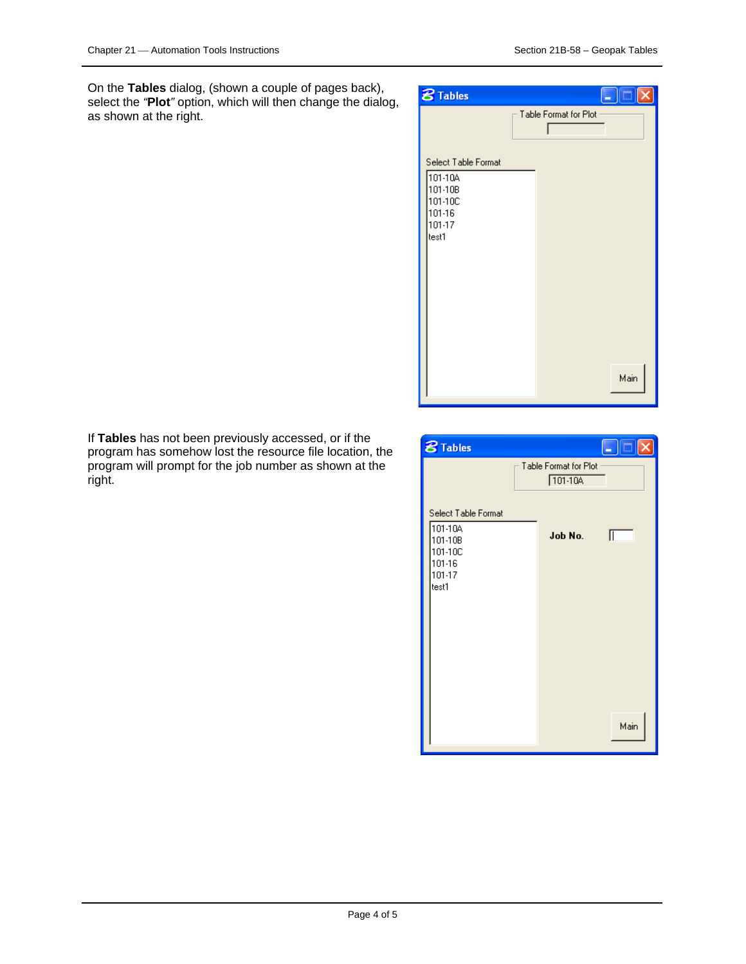On the **Tables** dialog, (shown a couple of pages back), select the *"***Plot***"* option, which will then change the dialog, as shown at the right.



If **Tables** has not been previously accessed, or if the program has somehow lost the resource file location, the program will prompt for the job number as shown at the right.

| <b>8</b> Tables                                                          | u                                    | X    |
|--------------------------------------------------------------------------|--------------------------------------|------|
|                                                                          | Table Format for Plot<br>$101 - 104$ |      |
| Select Table Format<br>101-10A<br>101-10B<br>101-10C<br>101-16<br>101-17 | Job No.                              |      |
| test1                                                                    |                                      |      |
|                                                                          |                                      |      |
|                                                                          |                                      | Main |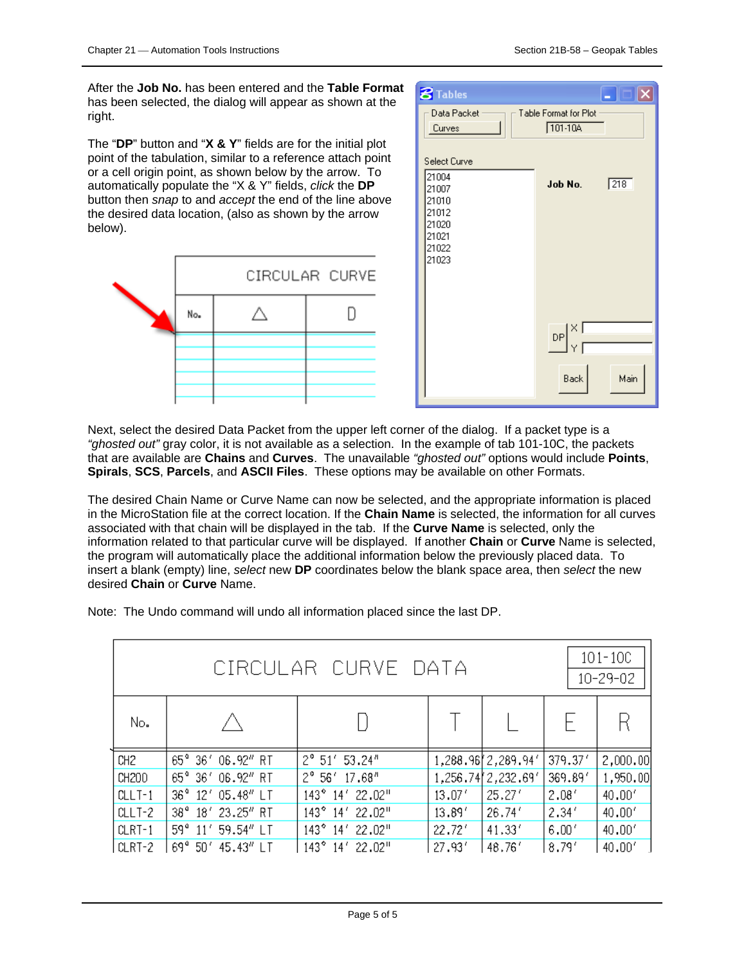After the **Job No.** has been entered and the **Table Format** has been selected, the dialog will appear as shown at the right.

The "**DP**" button and "**X & Y**" fields are for the initial plot point of the tabulation, similar to a reference attach point or a cell origin point, as shown below by the arrow. To automatically populate the "X & Y" fields, *click* the **DP** button then *snap* to and *accept* the end of the line above the desired data location, (also as shown by the arrow below).



| <b>8</b> Tables                                                      |                                                                                         |              |
|----------------------------------------------------------------------|-----------------------------------------------------------------------------------------|--------------|
| Data Packet<br>Curves                                                | Table Format for Plot<br>$101 - 104$                                                    |              |
| Select Curve                                                         |                                                                                         |              |
| 21004<br>21007<br>21010<br>21012<br>21020<br>21021<br>21022<br>21023 | Job No.                                                                                 | $\sqrt{218}$ |
|                                                                      | $\mathsf{DP} \bigg  \begin{matrix} \times \\ \times \\ \mathsf{Y} \end{matrix}$<br>Back | Main         |

Next, select the desired Data Packet from the upper left corner of the dialog. If a packet type is a *"ghosted out"* gray color, it is not available as a selection. In the example of tab 101-10C, the packets that are available are **Chains** and **Curves**. The unavailable *"ghosted out"* options would include **Points**, **Spirals**, **SCS**, **Parcels**, and **ASCII Files**. These options may be available on other Formats.

The desired Chain Name or Curve Name can now be selected, and the appropriate information is placed in the MicroStation file at the correct location. If the **Chain Name** is selected, the information for all curves associated with that chain will be displayed in the tab. If the **Curve Name** is selected, only the information related to that particular curve will be displayed. If another **Chain** or **Curve** Name is selected, the program will automatically place the additional information below the previously placed data. To insert a blank (empty) line, *select* new **DP** coordinates below the blank space area, then *select* the new desired **Chain** or **Curve** Name.

Note: The Undo command will undo all information placed since the last DP.

| $101 - 100$<br>CIRCULAR CURVE DATA<br>10-29-02 |                                 |                                            |        |                   |         |          |  |
|------------------------------------------------|---------------------------------|--------------------------------------------|--------|-------------------|---------|----------|--|
| No.                                            |                                 |                                            |        |                   |         |          |  |
| CH <sub>2</sub>                                | 65° 36' 06.92" RT               | $2^{\circ}$ 51' 53.24"                     |        | 1,288.96 2,289.94 | 379.37' | 2,000.00 |  |
| CH200                                          | 65° 36' 06.92" RT               | $2^{\circ}$ 56' 17.68"                     |        | 1,256.74 2,232.69 | 369.89' | 1,950.00 |  |
| $CLLT-1$                                       | 36° 12' 05.48" LT               | $143^{\circ}$<br>14' 22.02"                | 13.07' | 25.27'            | 2.08'   | 40.00'   |  |
| $CLLT-2$                                       | 38° 18' 23.25" RT               | $143^{\circ}$<br>14' 22.02"                | 13.89' | 26.74'            | 2.34'   | 40.00'   |  |
| $CLRT-1$                                       | $59^{\circ}$<br>$11'$ 59.54" LT | $143^{\circ}$<br>22.02"<br>14 <sup>7</sup> | 22.72' | 41.33'            | 6.00'   | 40.00'   |  |
| CLRT-2                                         | 69°<br>50′<br>45.43" LT         | $143^{\circ}$<br>22.02"<br>14 <sup>7</sup> | 27.93' | 48.76'            | 8.79'   | 40.00'   |  |